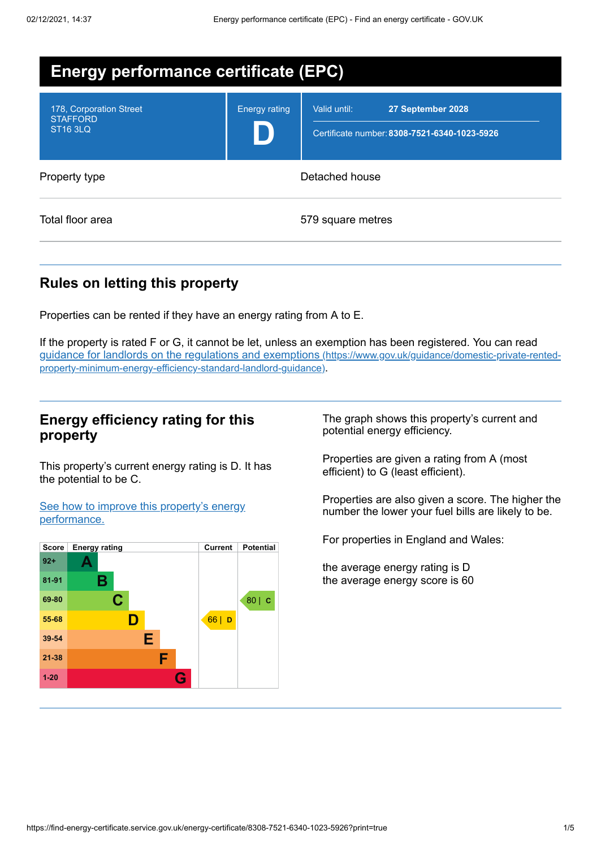| <b>Energy performance certificate (EPC)</b>                   |                      |                                                                                   |
|---------------------------------------------------------------|----------------------|-----------------------------------------------------------------------------------|
| 178, Corporation Street<br><b>STAFFORD</b><br><b>ST16 3LQ</b> | <b>Energy rating</b> | Valid until:<br>27 September 2028<br>Certificate number: 8308-7521-6340-1023-5926 |
| Property type                                                 | Detached house       |                                                                                   |
| Total floor area                                              |                      | 579 square metres                                                                 |

## **Rules on letting this property**

Properties can be rented if they have an energy rating from A to E.

If the property is rated F or G, it cannot be let, unless an exemption has been registered. You can read guidance for landlords on the regulations and exemptions (https://www.gov.uk/guidance/domestic-private-rented[property-minimum-energy-efficiency-standard-landlord-guidance\)](https://www.gov.uk/guidance/domestic-private-rented-property-minimum-energy-efficiency-standard-landlord-guidance).

### **Energy efficiency rating for this property**

This property's current energy rating is D. It has the potential to be C.

See how to improve this property's energy [performance.](#page-2-0)



The graph shows this property's current and potential energy efficiency.

Properties are given a rating from A (most efficient) to G (least efficient).

Properties are also given a score. The higher the number the lower your fuel bills are likely to be.

For properties in England and Wales:

the average energy rating is D the average energy score is 60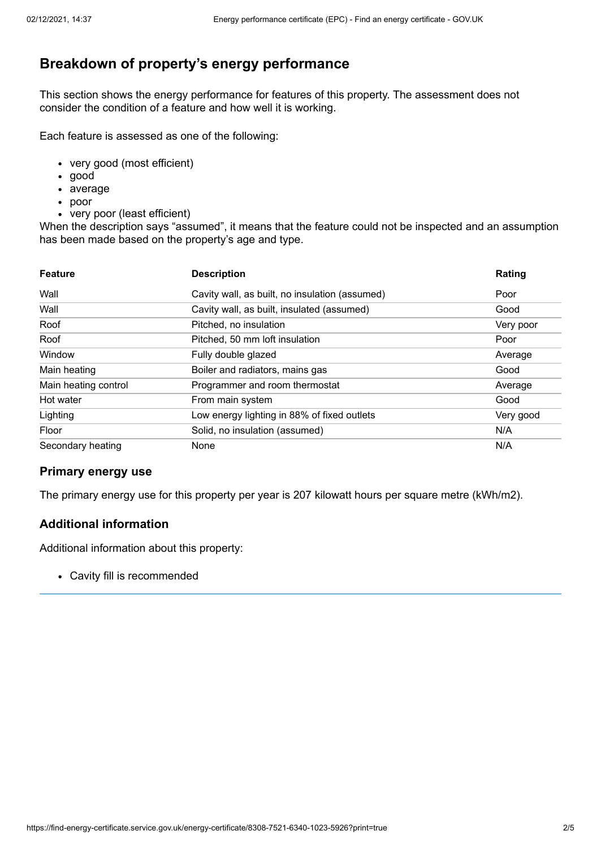## **Breakdown of property's energy performance**

This section shows the energy performance for features of this property. The assessment does not consider the condition of a feature and how well it is working.

Each feature is assessed as one of the following:

- very good (most efficient)
- good
- average
- poor
- very poor (least efficient)

When the description says "assumed", it means that the feature could not be inspected and an assumption has been made based on the property's age and type.

| <b>Feature</b>       | <b>Description</b>                             | Rating    |
|----------------------|------------------------------------------------|-----------|
| Wall                 | Cavity wall, as built, no insulation (assumed) | Poor      |
| Wall                 | Cavity wall, as built, insulated (assumed)     | Good      |
| Roof                 | Pitched, no insulation                         | Very poor |
| Roof                 | Pitched, 50 mm loft insulation                 | Poor      |
| Window               | Fully double glazed                            | Average   |
| Main heating         | Boiler and radiators, mains gas                | Good      |
| Main heating control | Programmer and room thermostat                 | Average   |
| Hot water            | From main system                               | Good      |
| Lighting             | Low energy lighting in 88% of fixed outlets    | Very good |
| Floor                | Solid, no insulation (assumed)                 | N/A       |
| Secondary heating    | None                                           | N/A       |

#### **Primary energy use**

The primary energy use for this property per year is 207 kilowatt hours per square metre (kWh/m2).

#### **Additional information**

Additional information about this property:

Cavity fill is recommended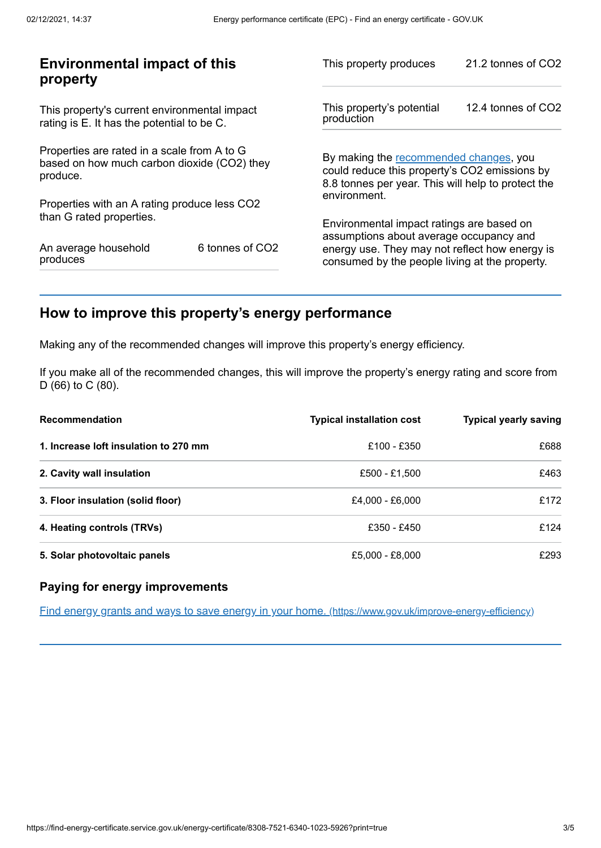| <b>Environmental impact of this</b><br>property                                                        |                 | This property produces                                                                                                                        | 21.2 tonnes of CO2 |
|--------------------------------------------------------------------------------------------------------|-----------------|-----------------------------------------------------------------------------------------------------------------------------------------------|--------------------|
| This property's current environmental impact<br>rating is E. It has the potential to be C.             |                 | This property's potential<br>production                                                                                                       | 12.4 tonnes of CO2 |
| Properties are rated in a scale from A to G<br>based on how much carbon dioxide (CO2) they<br>produce. |                 | By making the recommended changes, you<br>could reduce this property's CO2 emissions by<br>8.8 tonnes per year. This will help to protect the |                    |
| Properties with an A rating produce less CO2                                                           |                 | environment.                                                                                                                                  |                    |
| than G rated properties.                                                                               |                 | Environmental impact ratings are based on<br>assumptions about average occupancy and                                                          |                    |
| An average household<br>produces                                                                       | 6 tonnes of CO2 | energy use. They may not reflect how energy is<br>consumed by the people living at the property.                                              |                    |
|                                                                                                        |                 |                                                                                                                                               |                    |

# <span id="page-2-0"></span>**How to improve this property's energy performance**

Making any of the recommended changes will improve this property's energy efficiency.

If you make all of the recommended changes, this will improve the property's energy rating and score from D (66) to C (80).

| <b>Recommendation</b>                 | <b>Typical installation cost</b> | <b>Typical yearly saving</b> |
|---------------------------------------|----------------------------------|------------------------------|
| 1. Increase loft insulation to 270 mm | £100 - £350                      | £688                         |
| 2. Cavity wall insulation             | £500 - £1,500                    | £463                         |
| 3. Floor insulation (solid floor)     | £4,000 - £6,000                  | £172                         |
| 4. Heating controls (TRVs)            | £350 - £450                      | £124                         |
| 5. Solar photovoltaic panels          | £5,000 - £8,000                  | £293                         |

#### **Paying for energy improvements**

Find energy grants and ways to save energy in your home. [\(https://www.gov.uk/improve-energy-efficiency\)](https://www.gov.uk/improve-energy-efficiency)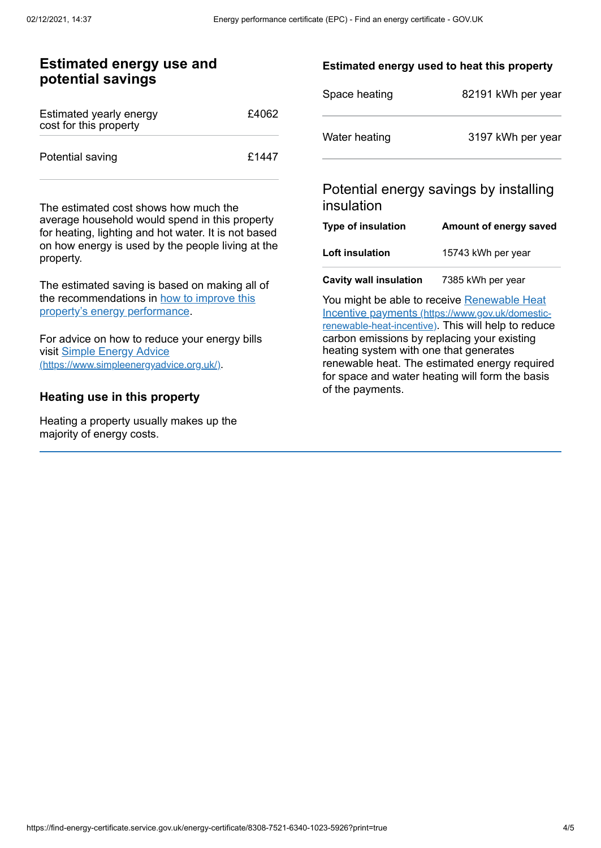### **Estimated energy use and potential savings**

| Estimated yearly energy<br>cost for this property | £4062 |
|---------------------------------------------------|-------|
| Potential saving                                  | £1447 |

The estimated cost shows how much the average household would spend in this property for heating, lighting and hot water. It is not based on how energy is used by the people living at the property.

The estimated saving is based on making all of the [recommendations](#page-2-0) in how to improve this property's energy performance.

For advice on how to reduce your energy bills visit Simple Energy Advice [\(https://www.simpleenergyadvice.org.uk/\)](https://www.simpleenergyadvice.org.uk/).

#### **Heating use in this property**

Heating a property usually makes up the majority of energy costs.

#### **Estimated energy used to heat this property**

| Space heating | 82191 kWh per year |
|---------------|--------------------|
| Water heating | 3197 kWh per year  |

## Potential energy savings by installing insulation

| <b>Type of insulation</b> | Amount of energy saved |
|---------------------------|------------------------|
| <b>Loft insulation</b>    | 15743 kWh per year     |
|                           |                        |

**Cavity wall insulation** 7385 kWh per year

You might be able to receive Renewable Heat Incentive payments [\(https://www.gov.uk/domestic](https://www.gov.uk/domestic-renewable-heat-incentive)renewable-heat-incentive). This will help to reduce carbon emissions by replacing your existing heating system with one that generates renewable heat. The estimated energy required for space and water heating will form the basis of the payments.